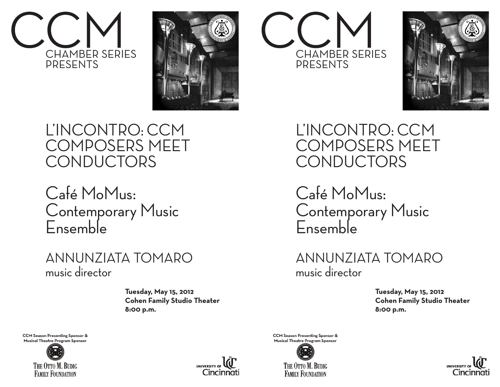



## L'INCONTRO: CCM COMPOSERS MEET **CONDUCTORS**

Café MoMus: Contemporary Music Ensemble

## ANNUNZIATA TOMARO music director

 **Tuesday, May 15, 2012 Cohen Family Studio Theater 8:00 p.m.**

**CCM Season Presenting Sponsor & Musical Theatre Program Sponsor**